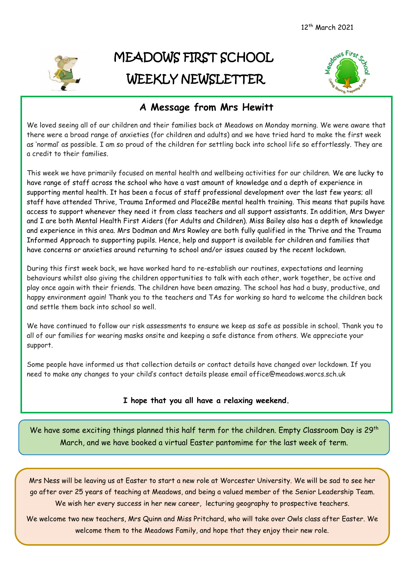

## MEADOWS FIRST SCHOOL WEEKLY NEWSLETTER



## **A Message from Mrs Hewitt**

We loved seeing all of our children and their families back at Meadows on Monday morning. We were aware that there were a broad range of anxieties (for children and adults) and we have tried hard to make the first week as 'normal' as possible. I am so proud of the children for settling back into school life so effortlessly. They are a credit to their families.

This week we have primarily focused on mental health and wellbeing activities for our children. We are lucky to have range of staff across the school who have a vast amount of knowledge and a depth of experience in supporting mental health. It has been a focus of staff professional development over the last few years; all staff have attended Thrive, Trauma Informed and Place2Be mental health training. This means that pupils have access to support whenever they need it from class teachers and all support assistants. In addition, Mrs Dwyer and I are both Mental Health First Aiders (for Adults and Children). Miss Bailey also has a depth of knowledge and experience in this area. Mrs Dodman and Mrs Rowley are both fully qualified in the Thrive and the Trauma Informed Approach to supporting pupils. Hence, help and support is available for children and families that have concerns or anxieties around returning to school and/or issues caused by the recent lockdown.

During this first week back, we have worked hard to re-establish our routines, expectations and learning behaviours whilst also giving the children opportunities to talk with each other, work together, be active and play once again with their friends. The children have been amazing. The school has had a busy, productive, and happy environment again! Thank you to the teachers and TAs for working so hard to welcome the children back and settle them back into school so well.

We have continued to follow our risk assessments to ensure we keep as safe as possible in school. Thank you to all of our families for wearing masks onsite and keeping a safe distance from others. We appreciate your support.

Some people have informed us that collection details or contact details have changed over lockdown. If you need to make any changes to your child's contact details please email office@meadows.worcs.sch.uk

## **I hope that you all have a relaxing weekend.**

We have some exciting things planned this half term for the children. Empty Classroom Day is 29<sup>th</sup> March, and we have booked a virtual Easter pantomime for the last week of term.

Mrs Ness will be leaving us at Easter to start a new role at Worcester University. We will be sad to see her go after over 25 years of teaching at Meadows, and being a valued member of the Senior Leadership Team. We wish her every success in her new career, lecturing geography to prospective teachers.

We welcome two new teachers, Mrs Quinn and Miss Pritchard, who will take over Owls class after Easter. We welcome them to the Meadows Family, and hope that they enjoy their new role.